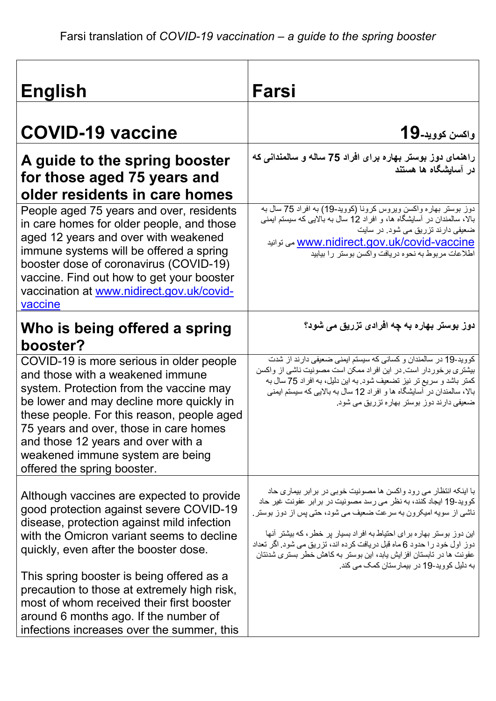| <b>English</b>                                                                                                                                                                                                                                                                                                                                                                                                                                           | Farsi                                                                                                                                                                                                                                                                                                                                                                                                                                                                                 |
|----------------------------------------------------------------------------------------------------------------------------------------------------------------------------------------------------------------------------------------------------------------------------------------------------------------------------------------------------------------------------------------------------------------------------------------------------------|---------------------------------------------------------------------------------------------------------------------------------------------------------------------------------------------------------------------------------------------------------------------------------------------------------------------------------------------------------------------------------------------------------------------------------------------------------------------------------------|
| <b>COVID-19 vaccine</b>                                                                                                                                                                                                                                                                                                                                                                                                                                  | واكسن كوويد-19                                                                                                                                                                                                                                                                                                                                                                                                                                                                        |
| A guide to the spring booster<br>for those aged 75 years and<br>older residents in care homes                                                                                                                                                                                                                                                                                                                                                            | راهنمای دوز بوستر بهاره برای افراد 75 ساله و سالمندانی که<br>در آسایشگاه ها هستند                                                                                                                                                                                                                                                                                                                                                                                                     |
| People aged 75 years and over, residents<br>in care homes for older people, and those<br>aged 12 years and over with weakened<br>immune systems will be offered a spring<br>booster dose of coronavirus (COVID-19)<br>vaccine. Find out how to get your booster<br>vaccination at www.nidirect.gov.uk/covid-<br>vaccine                                                                                                                                  | دوز بوستر بهاره واكسن ويروس كرونا (كوويد-19) به افراد 75 سال به<br>بالا، سالمندان در آسایشگاه ها، و افراد 12 سال به بالایی که سیستم ایمنی<br>ضعیفی دارند تزریق می شود. در سایت<br><u>www.nidirect.gov.uk/covid-vaccine می</u> توانید<br>اطلاعات مربوط به نحوه دريافت واكسن بوستر را بيابيد                                                                                                                                                                                            |
| Who is being offered a spring<br>booster?                                                                                                                                                                                                                                                                                                                                                                                                                | دوز بوستر بهاره به چه افرادی تزریق می شود؟                                                                                                                                                                                                                                                                                                                                                                                                                                            |
| COVID-19 is more serious in older people<br>and those with a weakened immune<br>system. Protection from the vaccine may<br>be lower and may decline more quickly in<br>these people. For this reason, people aged<br>75 years and over, those in care homes<br>and those 12 years and over with a<br>weakened immune system are being<br>offered the spring booster.                                                                                     | كوويد-19 در سالمندان و كساني كه سيستم ايمني ضعيفي دارند از شدت<br>بیشتری برخور دار است در این افراد ممکن است مصونیت ناشی از واکسن<br>كمتر باشد و سريع تر نيز تضعيف شود. به اين دليل، به افراد 75 سال به<br>بالا، سالمندان در آسایشگاه ها و افراد 12 سال به بالایی که سیستم ایمنی<br>ضعیفی دارند دوز بوستر بهاره تزریق می شود.                                                                                                                                                         |
| Although vaccines are expected to provide<br>good protection against severe COVID-19<br>disease, protection against mild infection<br>with the Omicron variant seems to decline<br>quickly, even after the booster dose.<br>This spring booster is being offered as a<br>precaution to those at extremely high risk,<br>most of whom received their first booster<br>around 6 months ago. If the number of<br>infections increases over the summer, this | با اینکه انتظار می رود واکسن ها مصونیت خوبی در بر ابر بیماری حاد<br>کووید-19 ایجاد کنند، به نظر می رسد مصونیت در بر ابر عفونت غیر حاد<br>ناشی از سویه امیکرون به سرعت ضعیف می شود، حتی پس از دوز بوستر<br>این دوز بوستر بهار ه بر ای احتیاط به افر اد بسیار بر خطر ، که بیشتر آنها<br>دوز اول خود را حدود 6 ماه قبل در یافت کر ده اند، تز ریق می شود. اگر تعداد<br>عفونت ها در تابستان افز ایش یابد، این بوستر به کاهش خطر بستر ی شدنتان<br>به دلیل کووید-19 در بیمارستان کمک می کند. |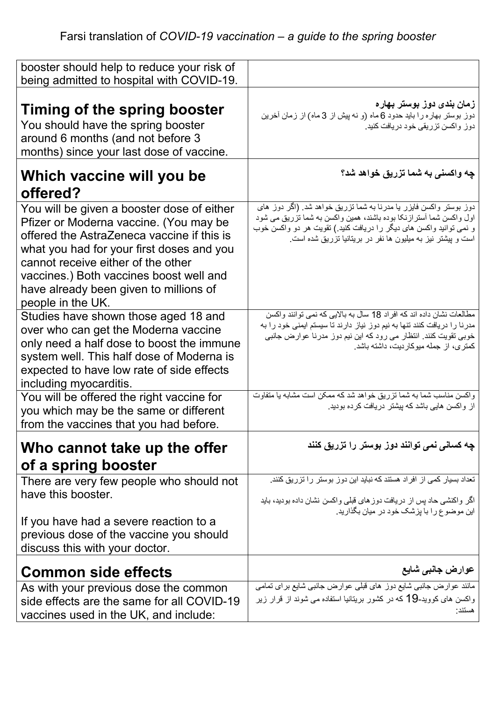| booster should help to reduce your risk of                                                                                                                                                                                                                                                                                      |                                                                                                                                                                                                                                                                                |
|---------------------------------------------------------------------------------------------------------------------------------------------------------------------------------------------------------------------------------------------------------------------------------------------------------------------------------|--------------------------------------------------------------------------------------------------------------------------------------------------------------------------------------------------------------------------------------------------------------------------------|
| being admitted to hospital with COVID-19.                                                                                                                                                                                                                                                                                       |                                                                                                                                                                                                                                                                                |
| Timing of the spring booster<br>You should have the spring booster<br>around 6 months (and not before 3<br>months) since your last dose of vaccine.                                                                                                                                                                             | زمان بندی دوز بوستر بهاره<br>دوز بوستر بهاره را باید حدود 6 ماه (و نه پیش از 3 ماه) از زمان آخرین<br>دوز واکسن تزریقی خود دریافت کنید.                                                                                                                                         |
| Which vaccine will you be<br>offered?                                                                                                                                                                                                                                                                                           | چه واکسن <i>ی</i> به شما تزریق خواهد شد؟                                                                                                                                                                                                                                       |
| You will be given a booster dose of either<br>Pfizer or Moderna vaccine. (You may be<br>offered the AstraZeneca vaccine if this is<br>what you had for your first doses and you<br>cannot receive either of the other<br>vaccines.) Both vaccines boost well and<br>have already been given to millions of<br>people in the UK. | دوز بوستر واکسن فایزر یا مدرنا به شما تزریق خواهد شد. (اگر دوز های<br>اول واکسن شما آستر ازنکا بوده باشند، همین واکسن به شما نزریق می شود<br>و نمی توانید واکسن های دیگر را دریافت کنید.) تقویت هر دو واکسن خوب<br>است و پیشتر نیز به میلیون ها نفر در بریتانیا تزریق شده است. |
| Studies have shown those aged 18 and<br>over who can get the Moderna vaccine<br>only need a half dose to boost the immune<br>system well. This half dose of Moderna is<br>expected to have low rate of side effects<br>including myocarditis.                                                                                   | مطالعات نشان داده اند كه افراد 18 سال به بالايي كه نمي توانند واكسن<br>مدرنا را دریافت کنند نتها به نیم دوز نیاز دارند تا سیستم ایمنی خود را به<br>خوبی تقویت کنند. انتظار می رود که این نیم دوز مدرنا عوارض جانبی<br>کمتری، از جمله میوکاردیت، داشته باشد.                    |
| You will be offered the right vaccine for<br>you which may be the same or different<br>from the vaccines that you had before.                                                                                                                                                                                                   | واکسن مناسب شما به شما نزریق خوآهد شد که ممکن است مشابه یا متفاوت<br>از واکسن هایی باشد که پیشتر دریافت کرده بودید.                                                                                                                                                            |
| Who cannot take up the offer<br>of a spring booster                                                                                                                                                                                                                                                                             | چه کسان <i>ی</i> نم <i>ی</i> توانند دوز بوستر را تزریق کنند                                                                                                                                                                                                                    |
| There are very few people who should not<br>have this booster.                                                                                                                                                                                                                                                                  | تعداد بسیار کمی از افراد هستند که نباید این دوز بوستر را تزریق کنند.<br>اگر واکنشی حاد پس از دریافت دوزهای قبلی واکسن نشان داده بودید، باید<br>این موضوع را با بزشک خود در میان بگذارید.                                                                                       |
| If you have had a severe reaction to a<br>previous dose of the vaccine you should<br>discuss this with your doctor.                                                                                                                                                                                                             |                                                                                                                                                                                                                                                                                |
| <b>Common side effects</b>                                                                                                                                                                                                                                                                                                      | عوارض جانبي شايع                                                                                                                                                                                                                                                               |
| As with your previous dose the common<br>side effects are the same for all COVID-19<br>vaccines used in the UK, and include:                                                                                                                                                                                                    | مانند عوارض جانبی شایع دوز های قبلی عوارض جانبی شایع برای تمامی<br>واکسن های کووید-19 که در کشور بریتانیا استفاده می شوند از قرار زیر<br>هستند·                                                                                                                                |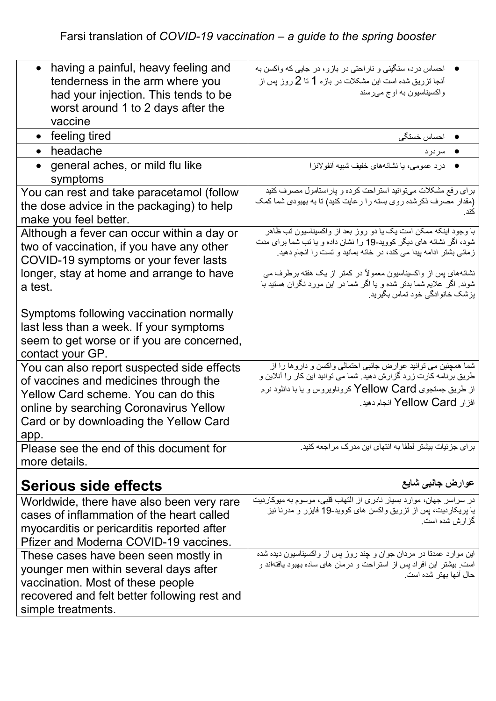| having a painful, heavy feeling and<br>tenderness in the arm where you<br>had your injection. This tends to be<br>worst around 1 to 2 days after the<br>vaccine                                                        | احساس درد، سنگینی و ناراحتی در بازو، در جایی که واکسن به<br>آنجا تزریق شده است این مشکلات در بازه 1 تا 2 روز پس از<br>واکسیناسیون به اوج میرسند                                                                                  |
|------------------------------------------------------------------------------------------------------------------------------------------------------------------------------------------------------------------------|----------------------------------------------------------------------------------------------------------------------------------------------------------------------------------------------------------------------------------|
| $\bullet$ feeling tired                                                                                                                                                                                                | <b>•</b> احساس خستگی                                                                                                                                                                                                             |
| headache<br>$\bullet$                                                                                                                                                                                                  | سردرد                                                                                                                                                                                                                            |
| general aches, or mild flu like<br>symptoms                                                                                                                                                                            | ● درد عمومى، يا نشانههاى خفيف شبيه أنفو لانز ا                                                                                                                                                                                   |
| You can rest and take paracetamol (follow<br>the dose advice in the packaging) to help<br>make you feel better.                                                                                                        | برای رفع مشکلات میتوانید استراحت کرده و پاراستامول مصرف کنید<br>(مقدار مصرف ذکرشده روی بسته را رعایت کنید) تا به بهبودی شما کمک<br>كند                                                                                           |
| Although a fever can occur within a day or<br>two of vaccination, if you have any other<br>COVID-19 symptoms or your fever lasts                                                                                       | با وجود اینکه ممکن است یک یا دو روز بعد از واکسپناسیون تب ظاهر<br>شود، اگر نشانه های دیگر کووید-19 را نشان داده و یا تب شما برای مدت<br>زمانی بشتر ادامه پیدا می کند، در خانه بمانید و تست را انجام دهید                         |
| longer, stay at home and arrange to have<br>a test.                                                                                                                                                                    | نشانههای پس از واکسیناسیون معمولاً در کمتر از یک هفته برطرف می<br>شوند. اگر علایم شما بدتر شده و یا اگر شما در این مورد نگران هستید با<br>پزشک خانوادگی خود تماس بگیرید.                                                         |
| Symptoms following vaccination normally<br>last less than a week. If your symptoms<br>seem to get worse or if you are concerned,<br>contact your GP.                                                                   |                                                                                                                                                                                                                                  |
| You can also report suspected side effects<br>of vaccines and medicines through the<br>Yellow Card scheme. You can do this<br>online by searching Coronavirus Yellow<br>Card or by downloading the Yellow Card<br>app. | شما همچنین می نوانید عوارض جانبی احتمالی واکسن و داروها را از<br>طریق برنامه کارت زرد گزارش دهید. شما می توانید این کار را آنلاین و<br>از طریق جستجوی Yellow Card کروناویروس و یا با دانلود نرم<br>افزار Yellow Card انجام دهيد. |
| Please see the end of this document for<br>more details.                                                                                                                                                               | بر ای جزئیات بیشتر لطفا به انتهای این مدرک مر اجعه کنید.                                                                                                                                                                         |
| Serious side effects                                                                                                                                                                                                   | عوارض جانب <i>ی</i> شایع                                                                                                                                                                                                         |
| Worldwide, there have also been very rare<br>cases of inflammation of the heart called<br>myocarditis or pericarditis reported after<br>Pfizer and Moderna COVID-19 vaccines.                                          | در سراسر جهان، موارد بسیار نادری از التهاب قلبی، موسوم به میوکاردیت<br>یا پریکاردیت، پس از نزریق واکسن های کووید-19 فایزر و مدرنا نیز<br>گز ار ش شده است.                                                                        |
| These cases have been seen mostly in<br>younger men within several days after<br>vaccination. Most of these people<br>recovered and felt better following rest and<br>simple treatments.                               | این موارد عمدتا در مردان جوان و چند روز پس از واکسیناسیون دیده شده<br>است. بیشتر این افراد پس از استراحت و درمان های ساده بهبود یافتهاند و<br>حال آنها بهتر شده است.                                                             |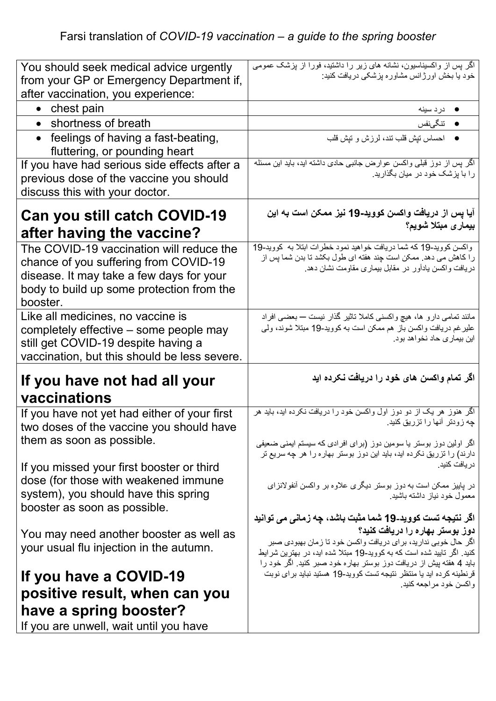| You should seek medical advice urgently<br>from your GP or Emergency Department if,                                                                                                    | اگر پس از واکسیناسیون، نشانه های زیر را داشتید، فورا از پزشک عمومی<br>خود یا بخش اورژانس مشاوره پزشکی دریافت کنید:                                                                         |
|----------------------------------------------------------------------------------------------------------------------------------------------------------------------------------------|--------------------------------------------------------------------------------------------------------------------------------------------------------------------------------------------|
| after vaccination, you experience:                                                                                                                                                     |                                                                                                                                                                                            |
| $\bullet$ chest pain                                                                                                                                                                   | ● دردسينه                                                                                                                                                                                  |
| • shortness of breath                                                                                                                                                                  | ● تنگىنفس                                                                                                                                                                                  |
| • feelings of having a fast-beating,<br>fluttering, or pounding heart                                                                                                                  | ● احساس نيش قلب نند، لرزش و نيش قلب                                                                                                                                                        |
| If you have had serious side effects after a                                                                                                                                           | اگر پس از دوز قبلی واکسن عوارض جانبی حادی داشته اید، باید این مسئله                                                                                                                        |
| previous dose of the vaccine you should<br>discuss this with your doctor.                                                                                                              | را با پزشک خود در میان بگذارید.                                                                                                                                                            |
| Can you still catch COVID-19                                                                                                                                                           | آیا پس از دریافت واکسن کووید-19 نیز ممکن است به این<br>بيمار ى مبتلا شويم؟                                                                                                                 |
| after having the vaccine?                                                                                                                                                              |                                                                                                                                                                                            |
| The COVID-19 vaccination will reduce the<br>chance of you suffering from COVID-19<br>disease. It may take a few days for your<br>body to build up some protection from the<br>booster. | واکسن کووید-19 که شما دریافت خواهید نمود خطرات ابتلا به کووید-19<br>را كاهش مى دهد. ممكن است چند هفته اى طول بكشد تا بدن شما پس از<br>دریافت واکسن یادآور در مقابل بیماری مقاومت نشان دهد. |
| Like all medicines, no vaccine is<br>completely effective – some people may<br>still get COVID-19 despite having a<br>vaccination, but this should be less severe.                     | مانند تمامی دار و ها، هیچ واکسنی کاملا تاثیر گذار نیست — بعضبی افراد<br>علير غم دريافت واكسن باز  هم ممكن است به كوويد-19 مبتلا شوند، ولمي<br>این بیماری حاد نخواهد بود.                   |
| If you have not had all your<br>vaccinations                                                                                                                                           | اگر تمام واکسن های خود را دریافت نکرده اید                                                                                                                                                 |
|                                                                                                                                                                                        | اگر هنوز هر یک از دو دوز اول واکسن خود را دریافت نکرده اید، باید هر                                                                                                                        |
| If you have not yet had either of your first                                                                                                                                           | چه زودتر آنها را تزریق کنید.                                                                                                                                                               |
| two doses of the vaccine you should have<br>them as soon as possible.                                                                                                                  | اگر اولین دوز بوستر یا سومین دوز (برای افرادی که سیستم ایمنی ضعیفی<br>دارند) را نزریق نکرده اید، باید این دوز بوستر بهاره را هر چه سریع تر                                                 |
| If you missed your first booster or third                                                                                                                                              | در يافت كنيد.                                                                                                                                                                              |
| dose (for those with weakened immune<br>system), you should have this spring<br>booster as soon as possible.                                                                           | در بابیز ممکن است به دوز بوستر دیگری علاوه بر واکسن أنفولانزای<br>معمول خود نیاز داشته باشید                                                                                               |
|                                                                                                                                                                                        | اگر نتیجه تست کووید-19 شما مثبت باشد، چه زمان <i>ی می</i> توانید                                                                                                                           |
| You may need another booster as well as<br>your usual flu injection in the autumn.                                                                                                     | دوز بوستر بهاره را دريافت كنيد؟<br>اگر حال خوبی ندارید، برای دریافت واکسن خود تا زمان بهبودی صبر<br>کنید. اگر تایید شده است که به کووید-19 مبتلا شده اید، در بهترین شرایط                  |
| If you have a COVID-19                                                                                                                                                                 | باید 4 هفته پیش از دریافت دوز بوستر بهاره خود صبر کنید. اگر خود را<br>قرنطینه کرده اید یا منتظر نتیجه تست کووید-19 هستید نباید برای نوبت<br>واكسن خود مراجعه كنيد.                         |
| positive result, when can you                                                                                                                                                          |                                                                                                                                                                                            |
| have a spring booster?                                                                                                                                                                 |                                                                                                                                                                                            |
| If you are unwell, wait until you have                                                                                                                                                 |                                                                                                                                                                                            |